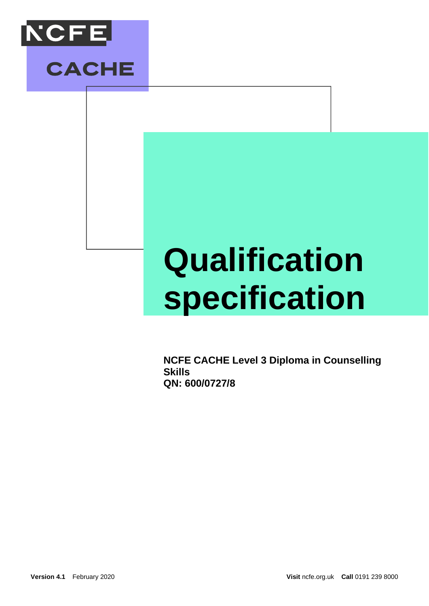



# **Qualification specification**

**NCFE CACHE Level 3 Diploma in Counselling Skills QN: 600/0727/8**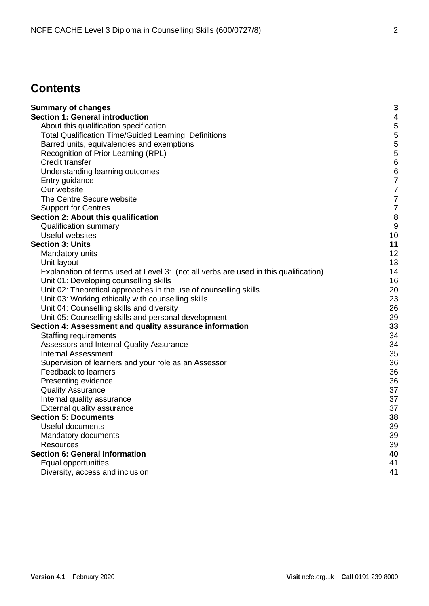# **Contents**

| <b>Summary of changes</b>                                                            | 3            |
|--------------------------------------------------------------------------------------|--------------|
| <b>Section 1: General introduction</b>                                               | 4            |
| About this qualification specification                                               | 5            |
| <b>Total Qualification Time/Guided Learning: Definitions</b>                         | 5            |
| Barred units, equivalencies and exemptions                                           | 5            |
| Recognition of Prior Learning (RPL)                                                  | 5            |
| Credit transfer                                                                      | 6            |
| Understanding learning outcomes                                                      | 6            |
| Entry guidance                                                                       | 7            |
| Our website                                                                          | 7            |
| The Centre Secure website                                                            | 7            |
| <b>Support for Centres</b>                                                           | 7            |
| Section 2: About this qualification                                                  | 8            |
| <b>Qualification summary</b>                                                         | $\mathbf{g}$ |
| Useful websites                                                                      | 10           |
| <b>Section 3: Units</b>                                                              | 11           |
| Mandatory units                                                                      | 12           |
| Unit layout                                                                          | 13           |
| Explanation of terms used at Level 3: (not all verbs are used in this qualification) | 14           |
| Unit 01: Developing counselling skills                                               | 16           |
| Unit 02: Theoretical approaches in the use of counselling skills                     | 20           |
| Unit 03: Working ethically with counselling skills                                   | 23           |
| Unit 04: Counselling skills and diversity                                            | 26           |
| Unit 05: Counselling skills and personal development                                 | 29           |
| Section 4: Assessment and quality assurance information                              | 33           |
| <b>Staffing requirements</b>                                                         | 34           |
| Assessors and Internal Quality Assurance                                             | 34           |
| <b>Internal Assessment</b>                                                           | 35           |
| Supervision of learners and your role as an Assessor                                 | 36           |
| Feedback to learners                                                                 | 36           |
| Presenting evidence                                                                  | 36           |
| <b>Quality Assurance</b>                                                             | 37           |
| Internal quality assurance                                                           | 37           |
| External quality assurance                                                           | 37           |
| <b>Section 5: Documents</b>                                                          | 38           |
| Useful documents                                                                     | 39           |
| Mandatory documents                                                                  | 39           |
| <b>Resources</b>                                                                     | 39           |
| <b>Section 6: General Information</b>                                                | 40           |
| Equal opportunities                                                                  | 41           |
| Diversity, access and inclusion                                                      | 41           |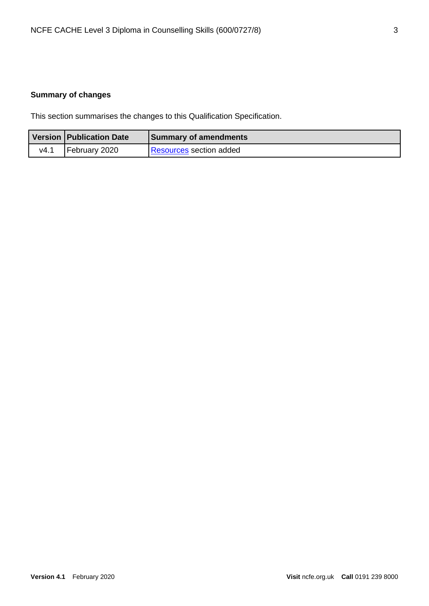# <span id="page-2-0"></span>**Summary of changes**

This section summarises the changes to this Qualification Specification.

|      | Version   Publication Date | <b>Summary of amendments</b>   |
|------|----------------------------|--------------------------------|
| V4.1 | February 2020              | <b>Resources section added</b> |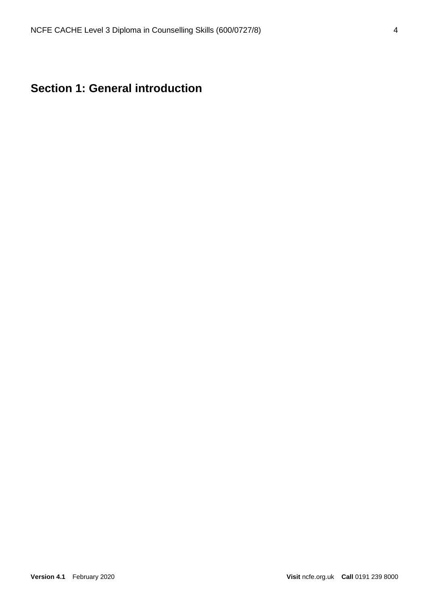# <span id="page-3-0"></span>**Section 1: General introduction**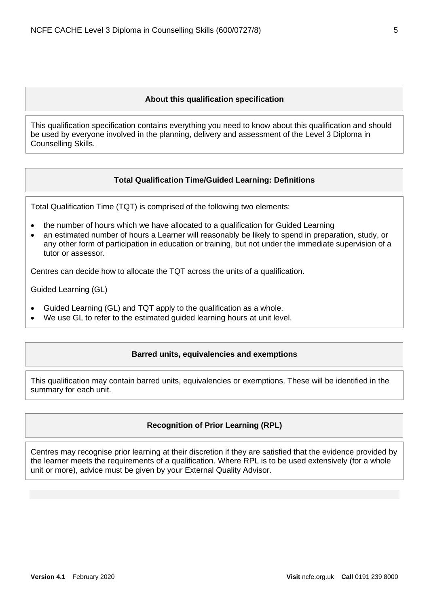#### **About this qualification specification**

<span id="page-4-0"></span>This qualification specification contains everything you need to know about this qualification and should be used by everyone involved in the planning, delivery and assessment of the Level 3 Diploma in Counselling Skills.

#### **Total Qualification Time/Guided Learning: Definitions**

<span id="page-4-1"></span>Total Qualification Time (TQT) is comprised of the following two elements:

- the number of hours which we have allocated to a qualification for Guided Learning
- an estimated number of hours a Learner will reasonably be likely to spend in preparation, study, or any other form of participation in education or training, but not under the immediate supervision of a tutor or assessor.

Centres can decide how to allocate the TQT across the units of a qualification.

Guided Learning (GL)

- Guided Learning (GL) and TQT apply to the qualification as a whole.
- <span id="page-4-2"></span>We use GL to refer to the estimated guided learning hours at unit level.

#### **Barred units, equivalencies and exemptions**

<span id="page-4-3"></span>This qualification may contain barred units, equivalencies or exemptions. These will be identified in the summary for each unit.

#### **Recognition of Prior Learning (RPL)**

Centres may recognise prior learning at their discretion if they are satisfied that the evidence provided by the learner meets the requirements of a qualification. Where RPL is to be used extensively (for a whole unit or more), advice must be given by your External Quality Advisor.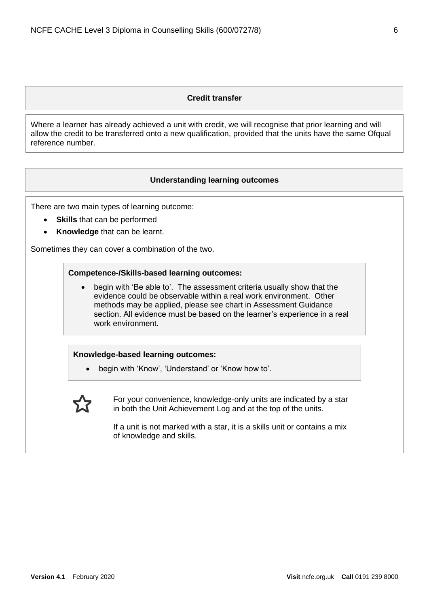#### **Credit transfer**

<span id="page-5-0"></span>Where a learner has already achieved a unit with credit, we will recognise that prior learning and will allow the credit to be transferred onto a new qualification, provided that the units have the same Ofqual reference number.

#### **Understanding learning outcomes**

<span id="page-5-1"></span>There are two main types of learning outcome:

- **Skills** that can be performed
- **Knowledge** that can be learnt.

Sometimes they can cover a combination of the two.

#### **Competence-/Skills-based learning outcomes:**

• begin with 'Be able to'. The assessment criteria usually show that the evidence could be observable within a real work environment. Other methods may be applied, please see chart in Assessment Guidance section. All evidence must be based on the learner's experience in a real work environment.

#### **Knowledge-based learning outcomes:**

• begin with 'Know', 'Understand' or 'Know how to'.



For your convenience, knowledge-only units are indicated by a star in both the Unit Achievement Log and at the top of the units.

If a unit is not marked with a star, it is a skills unit or contains a mix of knowledge and skills.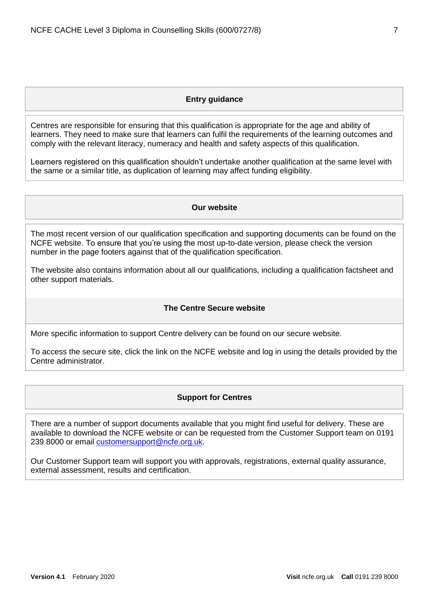#### **Entry guidance**

<span id="page-6-0"></span>Centres are responsible for ensuring that this qualification is appropriate for the age and ability of learners. They need to make sure that learners can fulfil the requirements of the learning outcomes and comply with the relevant literacy, numeracy and health and safety aspects of this qualification.

<span id="page-6-1"></span>Learners registered on this qualification shouldn't undertake another qualification at the same level with the same or a similar title, as duplication of learning may affect funding eligibility.

#### **Our website**

The most recent version of our qualification specification and supporting documents can be found on the NCFE website. To ensure that you're using the most up-to-date version, please check the version number in the page footers against that of the qualification specification.

The website also contains information about all our qualifications, including a qualification factsheet and other support materials.

#### **The Centre Secure website**

<span id="page-6-2"></span>More specific information to support Centre delivery can be found on our secure website.

<span id="page-6-3"></span>To access the secure site, click the link on the NCFE website and log in using the details provided by the Centre administrator.

#### **Support for Centres**

There are a number of support documents available that you might find useful for delivery. These are available to download the NCFE website or can be requested from the Customer Support team on 0191 239 8000 or email [customersupport@ncfe.org.uk.](mailto:customersupport@ncfe.org.uk)

Our Customer Support team will support you with approvals, registrations, external quality assurance, external assessment, results and certification.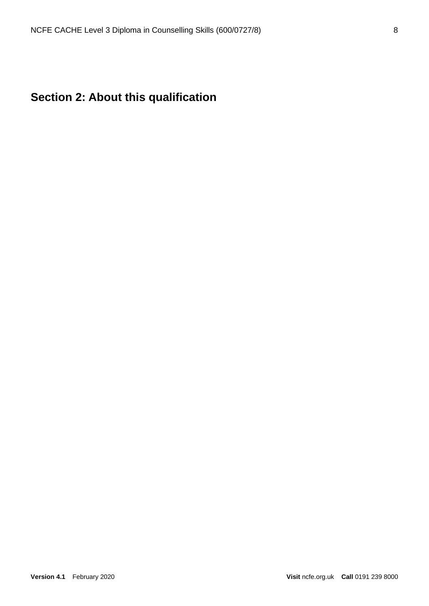# <span id="page-7-0"></span>**Section 2: About this qualification**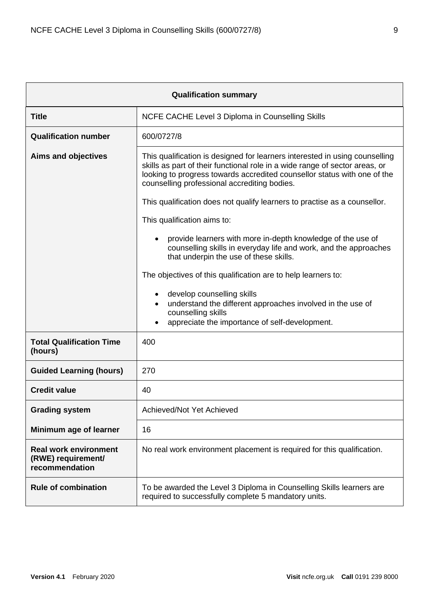<span id="page-8-0"></span>

| <b>Qualification summary</b>                                         |                                                                                                                                                                                                                                                                                        |  |  |
|----------------------------------------------------------------------|----------------------------------------------------------------------------------------------------------------------------------------------------------------------------------------------------------------------------------------------------------------------------------------|--|--|
| <b>Title</b>                                                         | NCFE CACHE Level 3 Diploma in Counselling Skills                                                                                                                                                                                                                                       |  |  |
| <b>Qualification number</b>                                          | 600/0727/8                                                                                                                                                                                                                                                                             |  |  |
| <b>Aims and objectives</b>                                           | This qualification is designed for learners interested in using counselling<br>skills as part of their functional role in a wide range of sector areas, or<br>looking to progress towards accredited counsellor status with one of the<br>counselling professional accrediting bodies. |  |  |
|                                                                      | This qualification does not qualify learners to practise as a counsellor.                                                                                                                                                                                                              |  |  |
|                                                                      | This qualification aims to:                                                                                                                                                                                                                                                            |  |  |
|                                                                      | provide learners with more in-depth knowledge of the use of<br>counselling skills in everyday life and work, and the approaches<br>that underpin the use of these skills.                                                                                                              |  |  |
|                                                                      | The objectives of this qualification are to help learners to:                                                                                                                                                                                                                          |  |  |
|                                                                      | develop counselling skills<br>understand the different approaches involved in the use of<br>counselling skills<br>appreciate the importance of self-development.                                                                                                                       |  |  |
| <b>Total Qualification Time</b><br>(hours)                           | 400                                                                                                                                                                                                                                                                                    |  |  |
| <b>Guided Learning (hours)</b>                                       | 270                                                                                                                                                                                                                                                                                    |  |  |
| <b>Credit value</b>                                                  | 40                                                                                                                                                                                                                                                                                     |  |  |
| <b>Grading system</b>                                                | Achieved/Not Yet Achieved                                                                                                                                                                                                                                                              |  |  |
| Minimum age of learner                                               | 16                                                                                                                                                                                                                                                                                     |  |  |
| <b>Real work environment</b><br>(RWE) requirement/<br>recommendation | No real work environment placement is required for this qualification.                                                                                                                                                                                                                 |  |  |
| <b>Rule of combination</b>                                           | To be awarded the Level 3 Diploma in Counselling Skills learners are<br>required to successfully complete 5 mandatory units.                                                                                                                                                           |  |  |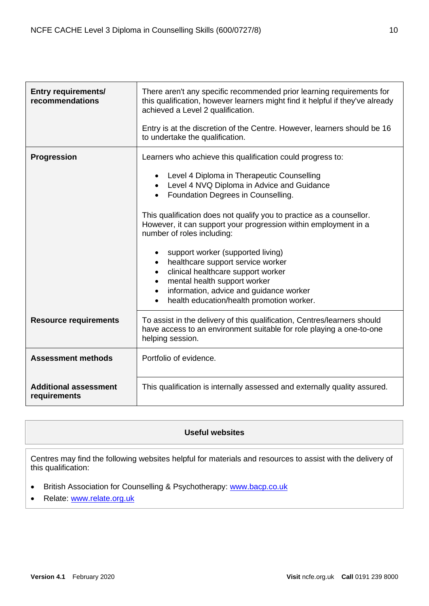| <b>Entry requirements/</b><br>recommendations | There aren't any specific recommended prior learning requirements for<br>this qualification, however learners might find it helpful if they've already<br>achieved a Level 2 qualification.<br>Entry is at the discretion of the Centre. However, learners should be 16<br>to undertake the qualification.                                                                                                                                                                                                                                                                                                                              |  |
|-----------------------------------------------|-----------------------------------------------------------------------------------------------------------------------------------------------------------------------------------------------------------------------------------------------------------------------------------------------------------------------------------------------------------------------------------------------------------------------------------------------------------------------------------------------------------------------------------------------------------------------------------------------------------------------------------------|--|
| <b>Progression</b>                            | Learners who achieve this qualification could progress to:<br>Level 4 Diploma in Therapeutic Counselling<br>Level 4 NVQ Diploma in Advice and Guidance<br>Foundation Degrees in Counselling.<br>This qualification does not qualify you to practice as a counsellor.<br>However, it can support your progression within employment in a<br>number of roles including:<br>support worker (supported living)<br>healthcare support service worker<br>$\bullet$<br>clinical healthcare support worker<br>mental health support worker<br>information, advice and guidance worker<br>$\bullet$<br>health education/health promotion worker. |  |
| <b>Resource requirements</b>                  | To assist in the delivery of this qualification, Centres/learners should<br>have access to an environment suitable for role playing a one-to-one<br>helping session.                                                                                                                                                                                                                                                                                                                                                                                                                                                                    |  |
| <b>Assessment methods</b>                     | Portfolio of evidence.                                                                                                                                                                                                                                                                                                                                                                                                                                                                                                                                                                                                                  |  |
| <b>Additional assessment</b><br>requirements  | This qualification is internally assessed and externally quality assured.                                                                                                                                                                                                                                                                                                                                                                                                                                                                                                                                                               |  |

## **Useful websites**

<span id="page-9-0"></span>Centres may find the following websites helpful for materials and resources to assist with the delivery of this qualification:

- British Association for Counselling & Psychotherapy: [www.bacp.co.uk](http://www.bacp.co.uk/)
- Relate: [www.relate.org.uk](http://www.relate.org.uk/)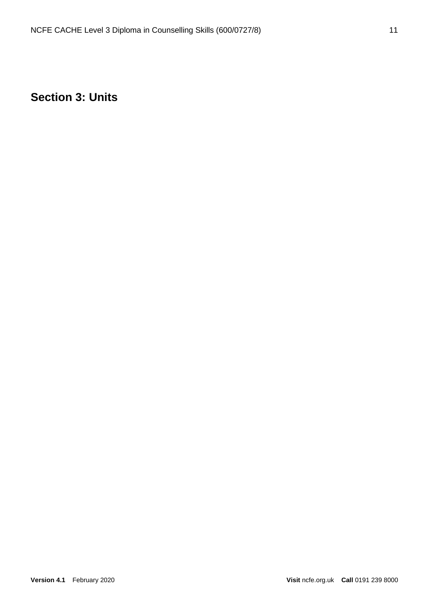# <span id="page-10-0"></span>**Section 3: Units**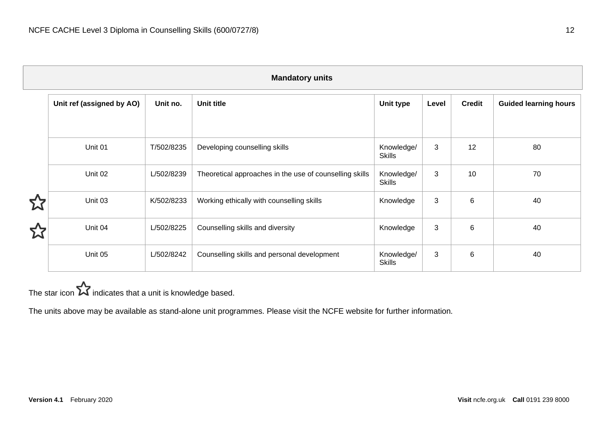| <b>Mandatory units</b> |                           |            |                                                         |                             |       |               |                              |
|------------------------|---------------------------|------------|---------------------------------------------------------|-----------------------------|-------|---------------|------------------------------|
|                        | Unit ref (assigned by AO) | Unit no.   | <b>Unit title</b>                                       | Unit type                   | Level | <b>Credit</b> | <b>Guided learning hours</b> |
|                        | Unit 01                   | T/502/8235 | Developing counselling skills                           | Knowledge/<br><b>Skills</b> | 3     | 12            | 80                           |
|                        | Unit 02                   | L/502/8239 | Theoretical approaches in the use of counselling skills | Knowledge/<br><b>Skills</b> | 3     | 10            | 70                           |
|                        | Unit 03                   | K/502/8233 | Working ethically with counselling skills               | Knowledge                   | 3     | 6             | 40                           |
| N                      | Unit 04                   | L/502/8225 | Counselling skills and diversity                        | Knowledge                   | 3     | 6             | 40                           |
|                        | Unit 05                   | L/502/8242 | Counselling skills and personal development             | Knowledge/                  | 3     | 6             | 40                           |

Skills

<span id="page-11-0"></span>The star icon  $\sum$  indicates that a unit is knowledge based.

The units above may be available as stand-alone unit programmes. Please visit [the](http://www.ncfe.org.uk/units) NCFE website for further information.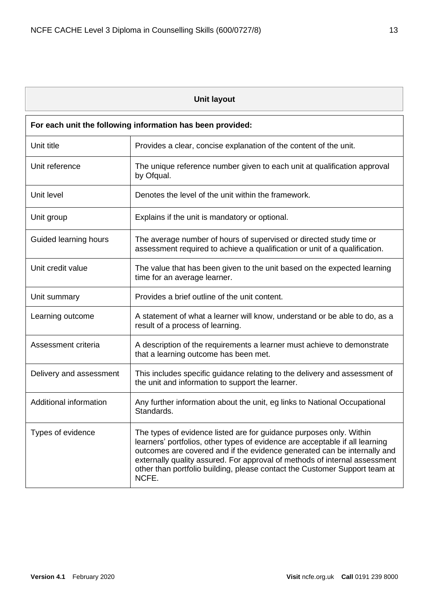<span id="page-12-0"></span>

| <b>Unit layout</b>      |                                                                                                                                                                                                                                                                                                                                                                                                      |  |  |
|-------------------------|------------------------------------------------------------------------------------------------------------------------------------------------------------------------------------------------------------------------------------------------------------------------------------------------------------------------------------------------------------------------------------------------------|--|--|
|                         | For each unit the following information has been provided:                                                                                                                                                                                                                                                                                                                                           |  |  |
| Unit title              | Provides a clear, concise explanation of the content of the unit.                                                                                                                                                                                                                                                                                                                                    |  |  |
| Unit reference          | The unique reference number given to each unit at qualification approval<br>by Ofqual.                                                                                                                                                                                                                                                                                                               |  |  |
| Unit level              | Denotes the level of the unit within the framework.                                                                                                                                                                                                                                                                                                                                                  |  |  |
| Unit group              | Explains if the unit is mandatory or optional.                                                                                                                                                                                                                                                                                                                                                       |  |  |
| Guided learning hours   | The average number of hours of supervised or directed study time or<br>assessment required to achieve a qualification or unit of a qualification.                                                                                                                                                                                                                                                    |  |  |
| Unit credit value       | The value that has been given to the unit based on the expected learning<br>time for an average learner.                                                                                                                                                                                                                                                                                             |  |  |
| Unit summary            | Provides a brief outline of the unit content.                                                                                                                                                                                                                                                                                                                                                        |  |  |
| Learning outcome        | A statement of what a learner will know, understand or be able to do, as a<br>result of a process of learning.                                                                                                                                                                                                                                                                                       |  |  |
| Assessment criteria     | A description of the requirements a learner must achieve to demonstrate<br>that a learning outcome has been met.                                                                                                                                                                                                                                                                                     |  |  |
| Delivery and assessment | This includes specific guidance relating to the delivery and assessment of<br>the unit and information to support the learner.                                                                                                                                                                                                                                                                       |  |  |
| Additional information  | Any further information about the unit, eg links to National Occupational<br><b>Standards</b>                                                                                                                                                                                                                                                                                                        |  |  |
| Types of evidence       | The types of evidence listed are for guidance purposes only. Within<br>learners' portfolios, other types of evidence are acceptable if all learning<br>outcomes are covered and if the evidence generated can be internally and<br>externally quality assured. For approval of methods of internal assessment<br>other than portfolio building, please contact the Customer Support team at<br>NCFE. |  |  |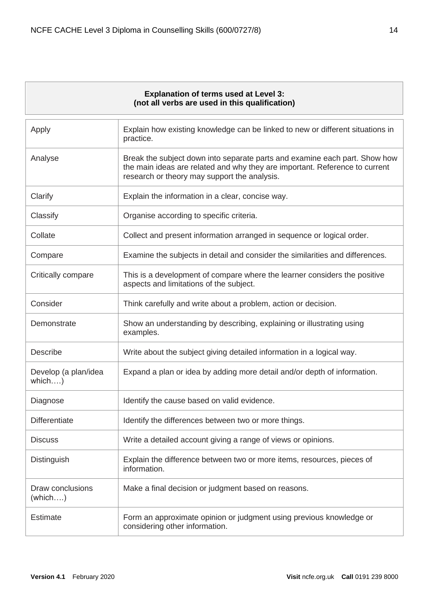## **Explanation of terms used at Level 3: (not all verbs are used in this qualification)**

<span id="page-13-0"></span>

| Apply                          | Explain how existing knowledge can be linked to new or different situations in<br>practice.                                                                                                               |
|--------------------------------|-----------------------------------------------------------------------------------------------------------------------------------------------------------------------------------------------------------|
| Analyse                        | Break the subject down into separate parts and examine each part. Show how<br>the main ideas are related and why they are important. Reference to current<br>research or theory may support the analysis. |
| Clarify                        | Explain the information in a clear, concise way.                                                                                                                                                          |
| Classify                       | Organise according to specific criteria.                                                                                                                                                                  |
| Collate                        | Collect and present information arranged in sequence or logical order.                                                                                                                                    |
| Compare                        | Examine the subjects in detail and consider the similarities and differences.                                                                                                                             |
| Critically compare             | This is a development of compare where the learner considers the positive<br>aspects and limitations of the subject.                                                                                      |
| Consider                       | Think carefully and write about a problem, action or decision.                                                                                                                                            |
| Demonstrate                    | Show an understanding by describing, explaining or illustrating using<br>examples.                                                                                                                        |
| <b>Describe</b>                | Write about the subject giving detailed information in a logical way.                                                                                                                                     |
| Develop (a plan/idea<br>which) | Expand a plan or idea by adding more detail and/or depth of information.                                                                                                                                  |
| Diagnose                       | Identify the cause based on valid evidence.                                                                                                                                                               |
| <b>Differentiate</b>           | Identify the differences between two or more things.                                                                                                                                                      |
| <b>Discuss</b>                 | Write a detailed account giving a range of views or opinions.                                                                                                                                             |
| Distinguish                    | Explain the difference between two or more items, resources, pieces of<br>information.                                                                                                                    |
| Draw conclusions<br>(which)    | Make a final decision or judgment based on reasons.                                                                                                                                                       |
| <b>Estimate</b>                | Form an approximate opinion or judgment using previous knowledge or<br>considering other information.                                                                                                     |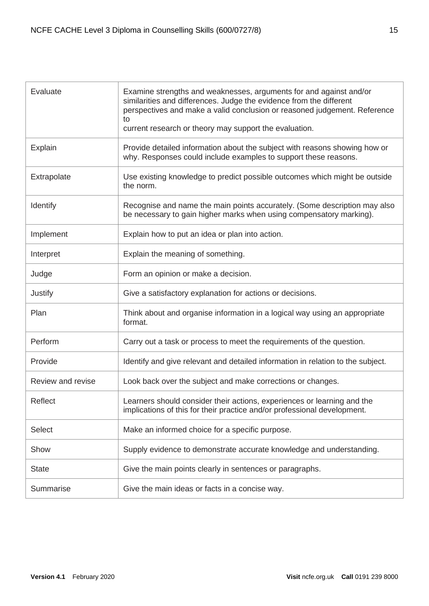| Evaluate          | Examine strengths and weaknesses, arguments for and against and/or<br>similarities and differences. Judge the evidence from the different<br>perspectives and make a valid conclusion or reasoned judgement. Reference<br>to<br>current research or theory may support the evaluation. |
|-------------------|----------------------------------------------------------------------------------------------------------------------------------------------------------------------------------------------------------------------------------------------------------------------------------------|
| Explain           | Provide detailed information about the subject with reasons showing how or<br>why. Responses could include examples to support these reasons.                                                                                                                                          |
| Extrapolate       | Use existing knowledge to predict possible outcomes which might be outside<br>the norm.                                                                                                                                                                                                |
| Identify          | Recognise and name the main points accurately. (Some description may also<br>be necessary to gain higher marks when using compensatory marking).                                                                                                                                       |
| Implement         | Explain how to put an idea or plan into action.                                                                                                                                                                                                                                        |
| Interpret         | Explain the meaning of something.                                                                                                                                                                                                                                                      |
| Judge             | Form an opinion or make a decision.                                                                                                                                                                                                                                                    |
| Justify           | Give a satisfactory explanation for actions or decisions.                                                                                                                                                                                                                              |
| Plan              | Think about and organise information in a logical way using an appropriate<br>format.                                                                                                                                                                                                  |
| Perform           | Carry out a task or process to meet the requirements of the question.                                                                                                                                                                                                                  |
| Provide           | Identify and give relevant and detailed information in relation to the subject.                                                                                                                                                                                                        |
| Review and revise | Look back over the subject and make corrections or changes.                                                                                                                                                                                                                            |
| Reflect           | Learners should consider their actions, experiences or learning and the<br>implications of this for their practice and/or professional development.                                                                                                                                    |
| <b>Select</b>     | Make an informed choice for a specific purpose.                                                                                                                                                                                                                                        |
| Show              | Supply evidence to demonstrate accurate knowledge and understanding.                                                                                                                                                                                                                   |
| <b>State</b>      | Give the main points clearly in sentences or paragraphs.                                                                                                                                                                                                                               |
| Summarise         | Give the main ideas or facts in a concise way.                                                                                                                                                                                                                                         |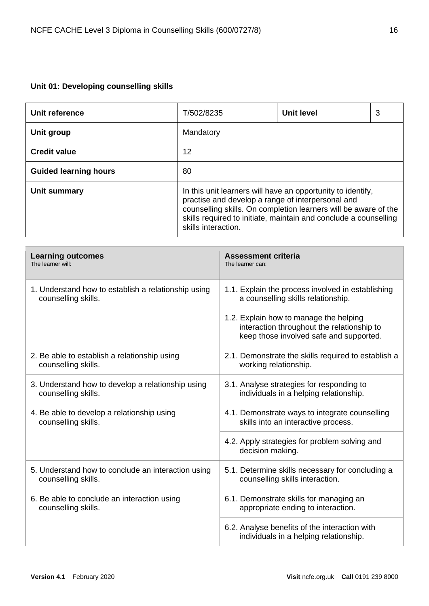# <span id="page-15-0"></span>**Unit 01: Developing counselling skills**

| Unit reference               | T/502/8235                                                                                                                                                                                                                                                                     | <b>Unit level</b> | 3 |
|------------------------------|--------------------------------------------------------------------------------------------------------------------------------------------------------------------------------------------------------------------------------------------------------------------------------|-------------------|---|
| Unit group                   | Mandatory                                                                                                                                                                                                                                                                      |                   |   |
| <b>Credit value</b>          | 12                                                                                                                                                                                                                                                                             |                   |   |
| <b>Guided learning hours</b> | 80                                                                                                                                                                                                                                                                             |                   |   |
| Unit summary                 | In this unit learners will have an opportunity to identify,<br>practise and develop a range of interpersonal and<br>counselling skills. On completion learners will be aware of the<br>skills required to initiate, maintain and conclude a counselling<br>skills interaction. |                   |   |

| <b>Learning outcomes</b>                            | <b>Assessment criteria</b>                                                                                                      |
|-----------------------------------------------------|---------------------------------------------------------------------------------------------------------------------------------|
| The learner will:                                   | The learner can:                                                                                                                |
| 1. Understand how to establish a relationship using | 1.1. Explain the process involved in establishing                                                                               |
| counselling skills.                                 | a counselling skills relationship.                                                                                              |
|                                                     | 1.2. Explain how to manage the helping<br>interaction throughout the relationship to<br>keep those involved safe and supported. |
| 2. Be able to establish a relationship using        | 2.1. Demonstrate the skills required to establish a                                                                             |
| counselling skills.                                 | working relationship.                                                                                                           |
| 3. Understand how to develop a relationship using   | 3.1. Analyse strategies for responding to                                                                                       |
| counselling skills.                                 | individuals in a helping relationship.                                                                                          |
| 4. Be able to develop a relationship using          | 4.1. Demonstrate ways to integrate counselling                                                                                  |
| counselling skills.                                 | skills into an interactive process.                                                                                             |
|                                                     | 4.2. Apply strategies for problem solving and<br>decision making.                                                               |
| 5. Understand how to conclude an interaction using  | 5.1. Determine skills necessary for concluding a                                                                                |
| counselling skills.                                 | counselling skills interaction.                                                                                                 |
| 6. Be able to conclude an interaction using         | 6.1. Demonstrate skills for managing an                                                                                         |
| counselling skills.                                 | appropriate ending to interaction.                                                                                              |
|                                                     | 6.2. Analyse benefits of the interaction with<br>individuals in a helping relationship.                                         |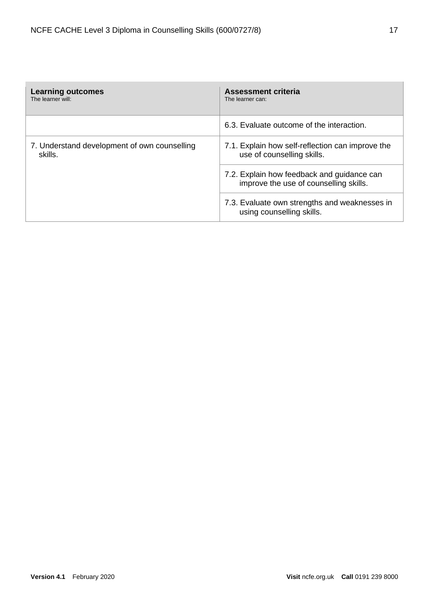| <b>Learning outcomes</b><br>The learner will:           | Assessment criteria<br>The learner can:                                              |  |
|---------------------------------------------------------|--------------------------------------------------------------------------------------|--|
|                                                         | 6.3. Evaluate outcome of the interaction.                                            |  |
| 7. Understand development of own counselling<br>skills. | 7.1. Explain how self-reflection can improve the<br>use of counselling skills.       |  |
|                                                         | 7.2. Explain how feedback and guidance can<br>improve the use of counselling skills. |  |
|                                                         | 7.3. Evaluate own strengths and weaknesses in<br>using counselling skills.           |  |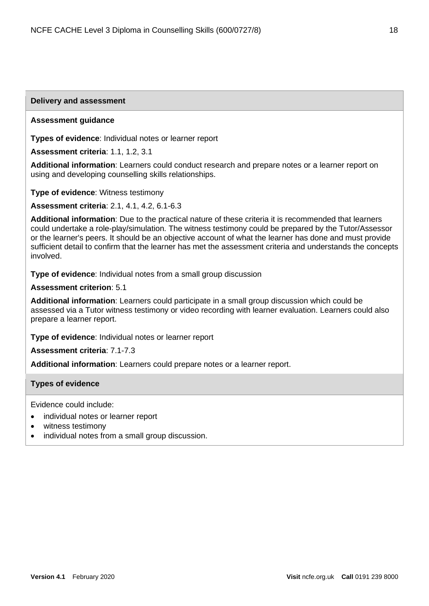#### **Delivery and assessment**

#### **Assessment guidance**

**Types of evidence**: Individual notes or learner report

**Assessment criteria**: 1.1, 1.2, 3.1

**Additional information**: Learners could conduct research and prepare notes or a learner report on using and developing counselling skills relationships.

**Type of evidence**: Witness testimony

**Assessment criteria**: 2.1, 4.1, 4.2, 6.1-6.3

**Additional information**: Due to the practical nature of these criteria it is recommended that learners could undertake a role-play/simulation. The witness testimony could be prepared by the Tutor/Assessor or the learner's peers. It should be an objective account of what the learner has done and must provide sufficient detail to confirm that the learner has met the assessment criteria and understands the concepts involved.

**Type of evidence**: Individual notes from a small group discussion

#### **Assessment criterion**: 5.1

**Additional information**: Learners could participate in a small group discussion which could be assessed via a Tutor witness testimony or video recording with learner evaluation. Learners could also prepare a learner report.

**Type of evidence**: Individual notes or learner report

**Assessment criteria**: 7.1-7.3

**Additional information**: Learners could prepare notes or a learner report.

#### **Types of evidence**

Evidence could include:

- individual notes or learner report
- witness testimony
- individual notes from a small group discussion.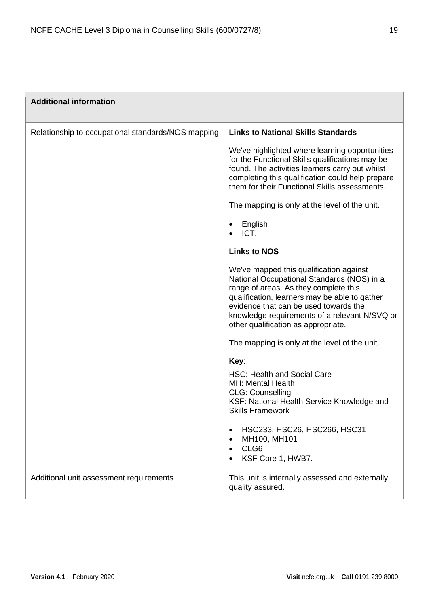| <b>Additional information</b>                      |                                                                                                                                                                                                                                                                                                                  |
|----------------------------------------------------|------------------------------------------------------------------------------------------------------------------------------------------------------------------------------------------------------------------------------------------------------------------------------------------------------------------|
| Relationship to occupational standards/NOS mapping | <b>Links to National Skills Standards</b>                                                                                                                                                                                                                                                                        |
|                                                    | We've highlighted where learning opportunities<br>for the Functional Skills qualifications may be<br>found. The activities learners carry out whilst<br>completing this qualification could help prepare<br>them for their Functional Skills assessments.                                                        |
|                                                    | The mapping is only at the level of the unit.                                                                                                                                                                                                                                                                    |
|                                                    | English<br>ICT.                                                                                                                                                                                                                                                                                                  |
|                                                    | <b>Links to NOS</b>                                                                                                                                                                                                                                                                                              |
|                                                    | We've mapped this qualification against<br>National Occupational Standards (NOS) in a<br>range of areas. As they complete this<br>qualification, learners may be able to gather<br>evidence that can be used towards the<br>knowledge requirements of a relevant N/SVQ or<br>other qualification as appropriate. |
|                                                    | The mapping is only at the level of the unit.                                                                                                                                                                                                                                                                    |
|                                                    | Key:<br><b>HSC: Health and Social Care</b><br><b>MH: Mental Health</b><br><b>CLG: Counselling</b><br>KSF: National Health Service Knowledge and<br><b>Skills Framework</b><br>HSC233, HSC26, HSC266, HSC31<br>$\bullet$<br>MH100, MH101<br>CLG6<br>KSF Core 1, HWB7.                                             |
| Additional unit assessment requirements            | This unit is internally assessed and externally<br>quality assured.                                                                                                                                                                                                                                              |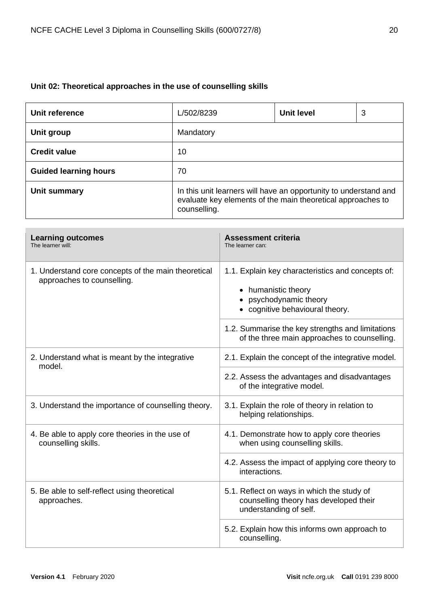# <span id="page-19-0"></span>**Unit 02: Theoretical approaches in the use of counselling skills**

| Unit reference               | L/502/8239                                                                                                                                      | <b>Unit level</b> | 3 |
|------------------------------|-------------------------------------------------------------------------------------------------------------------------------------------------|-------------------|---|
| Unit group                   | Mandatory                                                                                                                                       |                   |   |
| <b>Credit value</b>          | 10                                                                                                                                              |                   |   |
| <b>Guided learning hours</b> | 70                                                                                                                                              |                   |   |
| Unit summary                 | In this unit learners will have an opportunity to understand and<br>evaluate key elements of the main theoretical approaches to<br>counselling. |                   |   |

| <b>Learning outcomes</b><br>The learner will:                                     | <b>Assessment criteria</b><br>The learner can:                                                                                                 |
|-----------------------------------------------------------------------------------|------------------------------------------------------------------------------------------------------------------------------------------------|
| 1. Understand core concepts of the main theoretical<br>approaches to counselling. | 1.1. Explain key characteristics and concepts of:<br>humanistic theory<br>$\bullet$<br>psychodynamic theory<br>• cognitive behavioural theory. |
|                                                                                   | 1.2. Summarise the key strengths and limitations<br>of the three main approaches to counselling.                                               |
| 2. Understand what is meant by the integrative<br>model.                          | 2.1. Explain the concept of the integrative model.                                                                                             |
|                                                                                   | 2.2. Assess the advantages and disadvantages<br>of the integrative model.                                                                      |
| 3. Understand the importance of counselling theory.                               | 3.1. Explain the role of theory in relation to<br>helping relationships.                                                                       |
| 4. Be able to apply core theories in the use of<br>counselling skills.            | 4.1. Demonstrate how to apply core theories<br>when using counselling skills.                                                                  |
|                                                                                   | 4.2. Assess the impact of applying core theory to<br>interactions.                                                                             |
| 5. Be able to self-reflect using theoretical<br>approaches.                       | 5.1. Reflect on ways in which the study of<br>counselling theory has developed their<br>understanding of self.                                 |
|                                                                                   | 5.2. Explain how this informs own approach to<br>counselling.                                                                                  |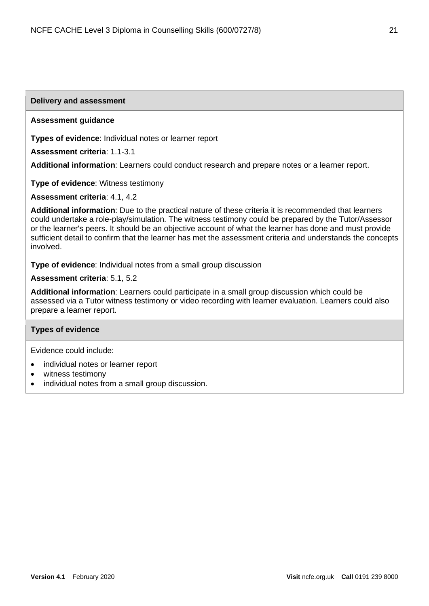#### **Delivery and assessment**

#### **Assessment guidance**

**Types of evidence**: Individual notes or learner report

**Assessment criteria**: 1.1-3.1

**Additional information**: Learners could conduct research and prepare notes or a learner report.

**Type of evidence**: Witness testimony

**Assessment criteria**: 4.1, 4.2

**Additional information**: Due to the practical nature of these criteria it is recommended that learners could undertake a role-play/simulation. The witness testimony could be prepared by the Tutor/Assessor or the learner's peers. It should be an objective account of what the learner has done and must provide sufficient detail to confirm that the learner has met the assessment criteria and understands the concepts involved.

**Type of evidence**: Individual notes from a small group discussion

**Assessment criteria**: 5.1, 5.2

**Additional information**: Learners could participate in a small group discussion which could be assessed via a Tutor witness testimony or video recording with learner evaluation. Learners could also prepare a learner report.

#### **Types of evidence**

Evidence could include:

- individual notes or learner report
- witness testimony
- individual notes from a small group discussion.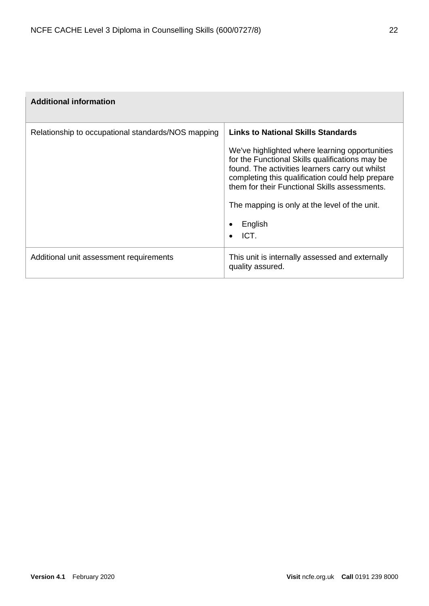| <b>Additional information</b>                      |                                                                                                                                                                                                                                                                                                                                                                                         |
|----------------------------------------------------|-----------------------------------------------------------------------------------------------------------------------------------------------------------------------------------------------------------------------------------------------------------------------------------------------------------------------------------------------------------------------------------------|
| Relationship to occupational standards/NOS mapping | <b>Links to National Skills Standards</b><br>We've highlighted where learning opportunities<br>for the Functional Skills qualifications may be<br>found. The activities learners carry out whilst<br>completing this qualification could help prepare<br>them for their Functional Skills assessments.<br>The mapping is only at the level of the unit.<br>English<br>$\bullet$<br>ICT. |
| Additional unit assessment requirements            | This unit is internally assessed and externally<br>quality assured.                                                                                                                                                                                                                                                                                                                     |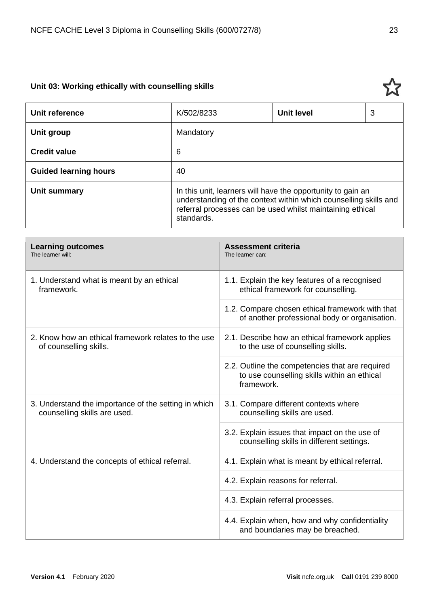# <span id="page-22-0"></span>**Unit 03: Working ethically with counselling skills**

| Unit reference               | K/502/8233                                                                                                                                                                                                 | <b>Unit level</b> | 3 |
|------------------------------|------------------------------------------------------------------------------------------------------------------------------------------------------------------------------------------------------------|-------------------|---|
| Unit group                   | Mandatory                                                                                                                                                                                                  |                   |   |
| <b>Credit value</b>          | 6                                                                                                                                                                                                          |                   |   |
| <b>Guided learning hours</b> | 40                                                                                                                                                                                                         |                   |   |
| Unit summary                 | In this unit, learners will have the opportunity to gain an<br>understanding of the context within which counselling skills and<br>referral processes can be used whilst maintaining ethical<br>standards. |                   |   |

| <b>Learning outcomes</b><br>The learner will:                                        | <b>Assessment criteria</b><br>The learner can:                                                               |
|--------------------------------------------------------------------------------------|--------------------------------------------------------------------------------------------------------------|
| 1. Understand what is meant by an ethical<br>framework.                              | 1.1. Explain the key features of a recognised<br>ethical framework for counselling.                          |
|                                                                                      | 1.2. Compare chosen ethical framework with that<br>of another professional body or organisation.             |
| 2. Know how an ethical framework relates to the use<br>of counselling skills.        | 2.1. Describe how an ethical framework applies<br>to the use of counselling skills.                          |
|                                                                                      | 2.2. Outline the competencies that are required<br>to use counselling skills within an ethical<br>framework. |
| 3. Understand the importance of the setting in which<br>counselling skills are used. | 3.1. Compare different contexts where<br>counselling skills are used.                                        |
|                                                                                      | 3.2. Explain issues that impact on the use of<br>counselling skills in different settings.                   |
| 4. Understand the concepts of ethical referral.                                      | 4.1. Explain what is meant by ethical referral.                                                              |
|                                                                                      | 4.2. Explain reasons for referral.                                                                           |
|                                                                                      | 4.3. Explain referral processes.                                                                             |
|                                                                                      | 4.4. Explain when, how and why confidentiality<br>and boundaries may be breached.                            |

5.7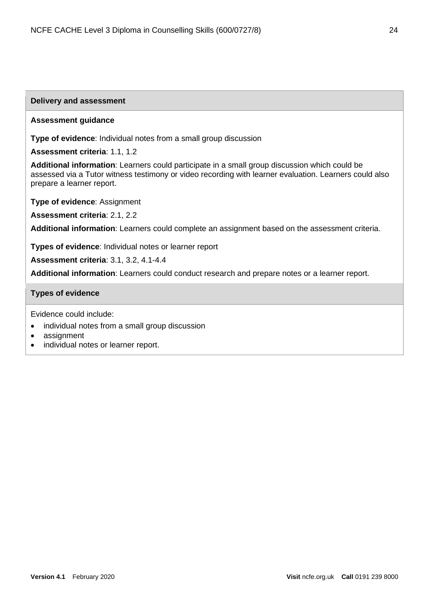**Type of evidence**: Individual notes from a small group discussion

| Assessment criteria: 1.1, 1.2                                                                                                                                                                                                        |
|--------------------------------------------------------------------------------------------------------------------------------------------------------------------------------------------------------------------------------------|
| Additional information: Learners could participate in a small group discussion which could be<br>assessed via a Tutor witness testimony or video recording with learner evaluation. Learners could also<br>prepare a learner report. |
| <b>Type of evidence: Assignment</b>                                                                                                                                                                                                  |
| Assessment criteria: 2.1, 2.2                                                                                                                                                                                                        |
| Additional information: Learners could complete an assignment based on the assessment criteria.                                                                                                                                      |
| Types of evidence: Individual notes or learner report                                                                                                                                                                                |
| <b>Assessment criteria: 3.1, 3.2, 4.1-4.4</b>                                                                                                                                                                                        |
| Additional information: Learners could conduct research and prepare notes or a learner report.                                                                                                                                       |

#### **Types of evidence**

Evidence could include:

**Delivery and assessment**

**Assessment guidance**

- individual notes from a small group discussion
- assignment
- individual notes or learner report.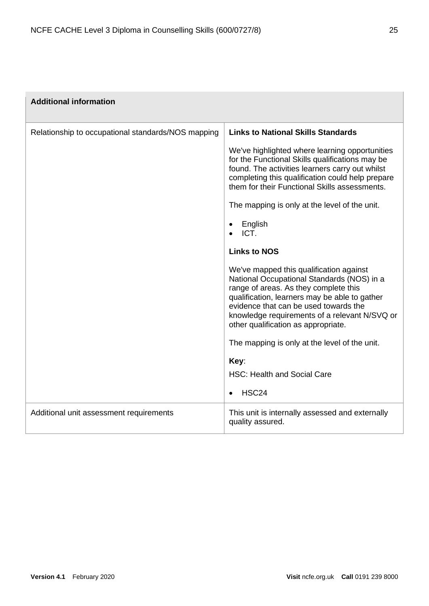| <b>Additional information</b>                      |                                                                                                                                                                                                                                                                                                                  |
|----------------------------------------------------|------------------------------------------------------------------------------------------------------------------------------------------------------------------------------------------------------------------------------------------------------------------------------------------------------------------|
| Relationship to occupational standards/NOS mapping | <b>Links to National Skills Standards</b>                                                                                                                                                                                                                                                                        |
|                                                    | We've highlighted where learning opportunities<br>for the Functional Skills qualifications may be<br>found. The activities learners carry out whilst<br>completing this qualification could help prepare<br>them for their Functional Skills assessments.                                                        |
|                                                    | The mapping is only at the level of the unit.                                                                                                                                                                                                                                                                    |
|                                                    | English<br>$\bullet$<br>ICT.                                                                                                                                                                                                                                                                                     |
|                                                    | <b>Links to NOS</b>                                                                                                                                                                                                                                                                                              |
|                                                    | We've mapped this qualification against<br>National Occupational Standards (NOS) in a<br>range of areas. As they complete this<br>qualification, learners may be able to gather<br>evidence that can be used towards the<br>knowledge requirements of a relevant N/SVQ or<br>other qualification as appropriate. |
|                                                    | The mapping is only at the level of the unit.                                                                                                                                                                                                                                                                    |
|                                                    | Key:                                                                                                                                                                                                                                                                                                             |
|                                                    | <b>HSC: Health and Social Care</b>                                                                                                                                                                                                                                                                               |
|                                                    | HSC <sub>24</sub><br>$\bullet$                                                                                                                                                                                                                                                                                   |
| Additional unit assessment requirements            | This unit is internally assessed and externally<br>quality assured.                                                                                                                                                                                                                                              |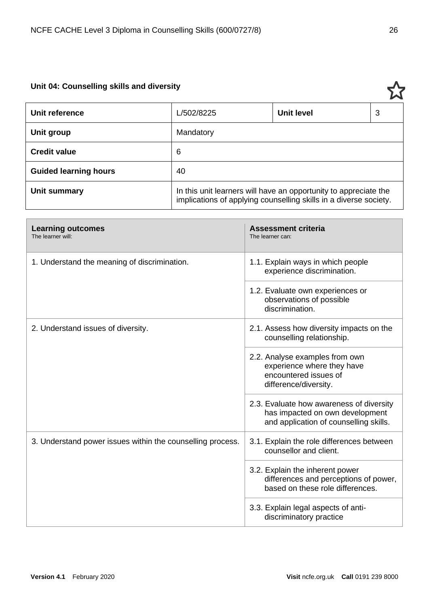# <span id="page-25-0"></span>**Unit 04: Counselling skills and diversity**

| Unit reference               | L/502/8225                                                                                                                            | <b>Unit level</b> | 3 |
|------------------------------|---------------------------------------------------------------------------------------------------------------------------------------|-------------------|---|
| Unit group                   | Mandatory                                                                                                                             |                   |   |
| <b>Credit value</b>          | 6                                                                                                                                     |                   |   |
| <b>Guided learning hours</b> | 40                                                                                                                                    |                   |   |
| Unit summary                 | In this unit learners will have an opportunity to appreciate the<br>implications of applying counselling skills in a diverse society. |                   |   |

| <b>Learning outcomes</b><br>The learner will:              | <b>Assessment criteria</b><br>The learner can:                                                                        |
|------------------------------------------------------------|-----------------------------------------------------------------------------------------------------------------------|
| 1. Understand the meaning of discrimination.               | 1.1. Explain ways in which people<br>experience discrimination.                                                       |
|                                                            | 1.2. Evaluate own experiences or<br>observations of possible<br>discrimination.                                       |
| 2. Understand issues of diversity.                         | 2.1. Assess how diversity impacts on the<br>counselling relationship.                                                 |
|                                                            | 2.2. Analyse examples from own<br>experience where they have<br>encountered issues of<br>difference/diversity.        |
|                                                            | 2.3. Evaluate how awareness of diversity<br>has impacted on own development<br>and application of counselling skills. |
| 3. Understand power issues within the counselling process. | 3.1. Explain the role differences between<br>counsellor and client.                                                   |
|                                                            | 3.2. Explain the inherent power<br>differences and perceptions of power,<br>based on these role differences.          |
|                                                            | 3.3. Explain legal aspects of anti-<br>discriminatory practice                                                        |

77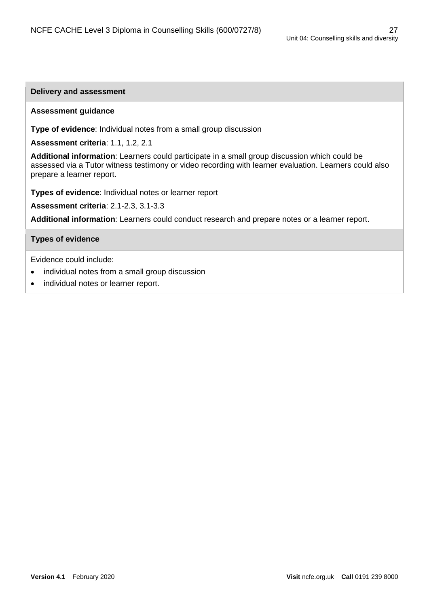#### **Delivery and assessment**

#### **Assessment guidance**

**Type of evidence**: Individual notes from a small group discussion

**Assessment criteria**: 1.1, 1.2, 2.1

**Additional information**: Learners could participate in a small group discussion which could be assessed via a Tutor witness testimony or video recording with learner evaluation. Learners could also prepare a learner report.

**Types of evidence**: Individual notes or learner report

**Assessment criteria**: 2.1-2.3, 3.1-3.3

**Additional information**: Learners could conduct research and prepare notes or a learner report.

#### **Types of evidence**

Evidence could include:

- individual notes from a small group discussion
- individual notes or learner report.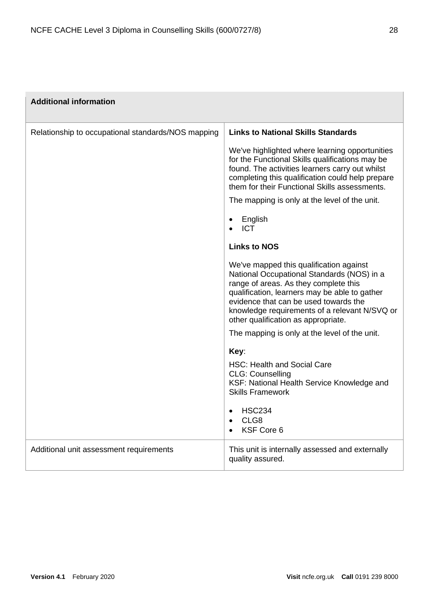| <b>Additional information</b>                      |                                                                                                                                                                                                                                                                                                                  |
|----------------------------------------------------|------------------------------------------------------------------------------------------------------------------------------------------------------------------------------------------------------------------------------------------------------------------------------------------------------------------|
| Relationship to occupational standards/NOS mapping | <b>Links to National Skills Standards</b>                                                                                                                                                                                                                                                                        |
|                                                    | We've highlighted where learning opportunities<br>for the Functional Skills qualifications may be<br>found. The activities learners carry out whilst<br>completing this qualification could help prepare<br>them for their Functional Skills assessments.                                                        |
|                                                    | The mapping is only at the level of the unit.                                                                                                                                                                                                                                                                    |
|                                                    | English<br>$\bullet$<br><b>ICT</b>                                                                                                                                                                                                                                                                               |
|                                                    | <b>Links to NOS</b>                                                                                                                                                                                                                                                                                              |
|                                                    | We've mapped this qualification against<br>National Occupational Standards (NOS) in a<br>range of areas. As they complete this<br>qualification, learners may be able to gather<br>evidence that can be used towards the<br>knowledge requirements of a relevant N/SVQ or<br>other qualification as appropriate. |
|                                                    | The mapping is only at the level of the unit.                                                                                                                                                                                                                                                                    |
|                                                    | Key:<br><b>HSC: Health and Social Care</b><br><b>CLG: Counselling</b><br>KSF: National Health Service Knowledge and<br><b>Skills Framework</b><br><b>HSC234</b><br>$\bullet$<br>CLG8<br>$\bullet$<br>KSF Core 6<br>$\bullet$                                                                                     |
| Additional unit assessment requirements            | This unit is internally assessed and externally<br>quality assured.                                                                                                                                                                                                                                              |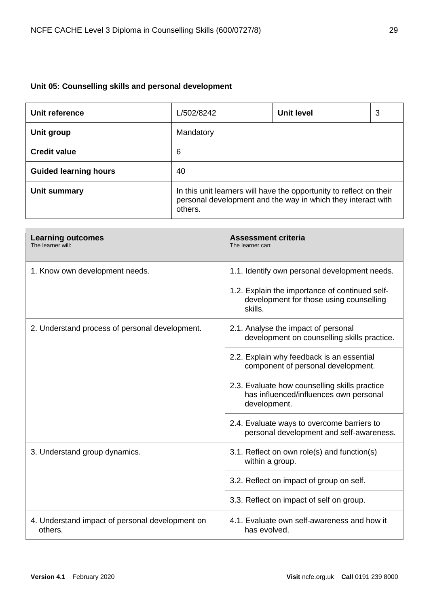# <span id="page-28-0"></span>**Unit 05: Counselling skills and personal development**

| Unit reference               | L/502/8242                                                                                                                                     | <b>Unit level</b> | 3 |
|------------------------------|------------------------------------------------------------------------------------------------------------------------------------------------|-------------------|---|
| Unit group                   | Mandatory                                                                                                                                      |                   |   |
| <b>Credit value</b>          | 6                                                                                                                                              |                   |   |
| <b>Guided learning hours</b> | 40                                                                                                                                             |                   |   |
| Unit summary                 | In this unit learners will have the opportunity to reflect on their<br>personal development and the way in which they interact with<br>others. |                   |   |

| <b>Learning outcomes</b><br>The learner will:              | <b>Assessment criteria</b><br>The learner can:                                                          |
|------------------------------------------------------------|---------------------------------------------------------------------------------------------------------|
| 1. Know own development needs.                             | 1.1. Identify own personal development needs.                                                           |
|                                                            | 1.2. Explain the importance of continued self-<br>development for those using counselling<br>skills.    |
| 2. Understand process of personal development.             | 2.1. Analyse the impact of personal<br>development on counselling skills practice.                      |
|                                                            | 2.2. Explain why feedback is an essential<br>component of personal development.                         |
|                                                            | 2.3. Evaluate how counselling skills practice<br>has influenced/influences own personal<br>development. |
|                                                            | 2.4. Evaluate ways to overcome barriers to<br>personal development and self-awareness.                  |
| 3. Understand group dynamics.                              | 3.1. Reflect on own role(s) and function(s)<br>within a group.                                          |
|                                                            | 3.2. Reflect on impact of group on self.                                                                |
|                                                            | 3.3. Reflect on impact of self on group.                                                                |
| 4. Understand impact of personal development on<br>others. | 4.1. Evaluate own self-awareness and how it<br>has evolved.                                             |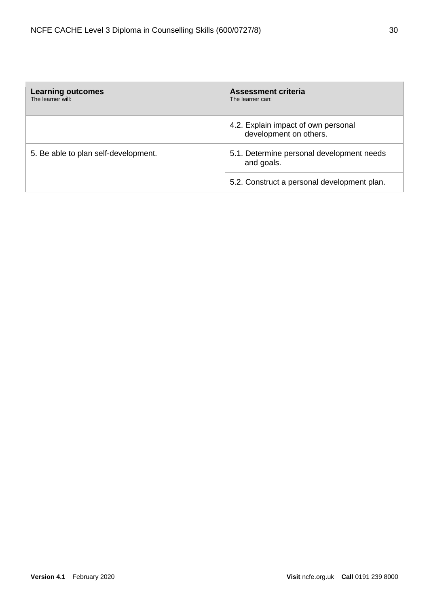| <b>Learning outcomes</b><br>The learner will: | <b>Assessment criteria</b><br>The learner can:                |
|-----------------------------------------------|---------------------------------------------------------------|
|                                               | 4.2. Explain impact of own personal<br>development on others. |
| 5. Be able to plan self-development.          | 5.1. Determine personal development needs<br>and goals.       |
|                                               | 5.2. Construct a personal development plan.                   |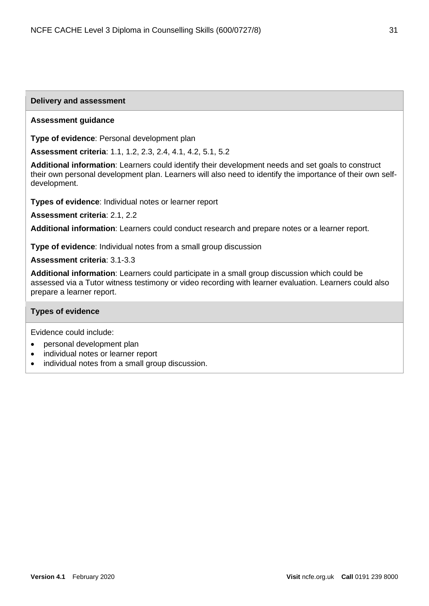#### **Delivery and assessment**

#### **Assessment guidance**

**Type of evidence**: Personal development plan

**Assessment criteria**: 1.1, 1.2, 2.3, 2.4, 4.1, 4.2, 5.1, 5.2

**Additional information**: Learners could identify their development needs and set goals to construct their own personal development plan. Learners will also need to identify the importance of their own selfdevelopment.

**Types of evidence**: Individual notes or learner report

**Assessment criteria**: 2.1, 2.2

**Additional information**: Learners could conduct research and prepare notes or a learner report.

**Type of evidence**: Individual notes from a small group discussion

**Assessment criteria**: 3.1-3.3

**Additional information**: Learners could participate in a small group discussion which could be assessed via a Tutor witness testimony or video recording with learner evaluation. Learners could also prepare a learner report.

#### **Types of evidence**

Evidence could include:

- personal development plan
- individual notes or learner report
- individual notes from a small group discussion.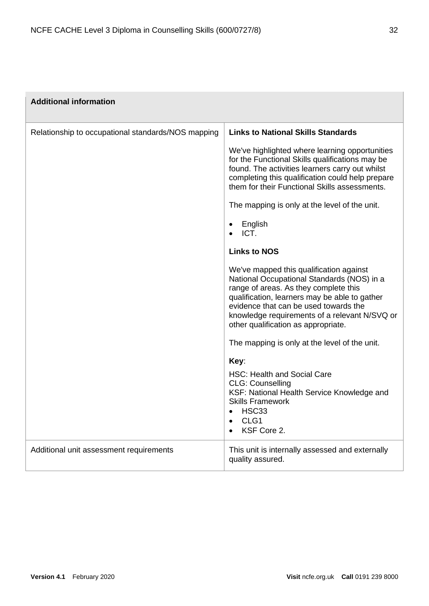| <b>Additional information</b>                      |                                                                                                                                                                                                                                                                                                                  |
|----------------------------------------------------|------------------------------------------------------------------------------------------------------------------------------------------------------------------------------------------------------------------------------------------------------------------------------------------------------------------|
| Relationship to occupational standards/NOS mapping | <b>Links to National Skills Standards</b>                                                                                                                                                                                                                                                                        |
|                                                    | We've highlighted where learning opportunities<br>for the Functional Skills qualifications may be<br>found. The activities learners carry out whilst<br>completing this qualification could help prepare<br>them for their Functional Skills assessments.                                                        |
|                                                    | The mapping is only at the level of the unit.                                                                                                                                                                                                                                                                    |
|                                                    | English<br>ICT.<br>$\bullet$                                                                                                                                                                                                                                                                                     |
|                                                    | <b>Links to NOS</b>                                                                                                                                                                                                                                                                                              |
|                                                    | We've mapped this qualification against<br>National Occupational Standards (NOS) in a<br>range of areas. As they complete this<br>qualification, learners may be able to gather<br>evidence that can be used towards the<br>knowledge requirements of a relevant N/SVQ or<br>other qualification as appropriate. |
|                                                    | The mapping is only at the level of the unit.                                                                                                                                                                                                                                                                    |
|                                                    | Key:                                                                                                                                                                                                                                                                                                             |
|                                                    | <b>HSC: Health and Social Care</b><br><b>CLG: Counselling</b><br>KSF: National Health Service Knowledge and<br><b>Skills Framework</b><br>HSC33<br>$\bullet$<br>CLG <sub>1</sub><br>$\bullet$<br>KSF Core 2.<br>$\bullet$                                                                                        |
| Additional unit assessment requirements            | This unit is internally assessed and externally<br>quality assured.                                                                                                                                                                                                                                              |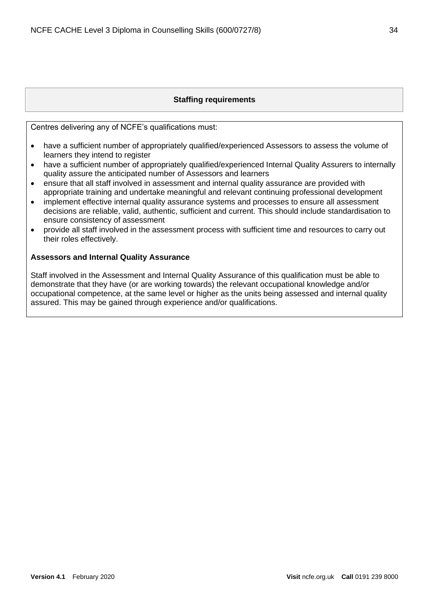## **Staffing requirements**

<span id="page-33-0"></span>Centres delivering any of NCFE's qualifications must:

- have a sufficient number of appropriately qualified/experienced Assessors to assess the volume of learners they intend to register
- have a sufficient number of appropriately qualified/experienced Internal Quality Assurers to internally quality assure the anticipated number of Assessors and learners
- ensure that all staff involved in assessment and internal quality assurance are provided with appropriate training and undertake meaningful and relevant continuing professional development
- implement effective internal quality assurance systems and processes to ensure all assessment decisions are reliable, valid, authentic, sufficient and current. This should include standardisation to ensure consistency of assessment
- provide all staff involved in the assessment process with sufficient time and resources to carry out their roles effectively.

## <span id="page-33-1"></span>**Assessors and Internal Quality Assurance**

Staff involved in the Assessment and Internal Quality Assurance of this qualification must be able to demonstrate that they have (or are working towards) the relevant occupational knowledge and/or occupational competence, at the same level or higher as the units being assessed and internal quality assured. This may be gained through experience and/or qualifications.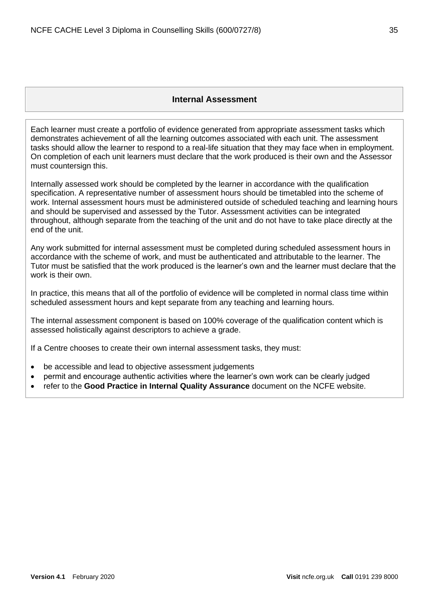<span id="page-34-0"></span>Each learner must create a portfolio of evidence generated from appropriate assessment tasks which demonstrates achievement of all the learning outcomes associated with each unit. The assessment tasks should allow the learner to respond to a real-life situation that they may face when in employment. On completion of each unit learners must declare that the work produced is their own and the Assessor must countersign this.

Internally assessed work should be completed by the learner in accordance with the qualification specification. A representative number of assessment hours should be timetabled into the scheme of work. Internal assessment hours must be administered outside of scheduled teaching and learning hours and should be supervised and assessed by the Tutor. Assessment activities can be integrated throughout, although separate from the teaching of the unit and do not have to take place directly at the end of the unit.

Any work submitted for internal assessment must be completed during scheduled assessment hours in accordance with the scheme of work, and must be authenticated and attributable to the learner. The Tutor must be satisfied that the work produced is the learner's own and the learner must declare that the work is their own.

In practice, this means that all of the portfolio of evidence will be completed in normal class time within scheduled assessment hours and kept separate from any teaching and learning hours.

The internal assessment component is based on 100% coverage of the qualification content which is assessed holistically against descriptors to achieve a grade.

If a Centre chooses to create their own internal assessment tasks, they must:

- be accessible and lead to objective assessment judgements
- permit and encourage authentic activities where the learner's own work can be clearly judged
- refer to the **Good Practice in Internal Quality Assurance** document on the NCFE website.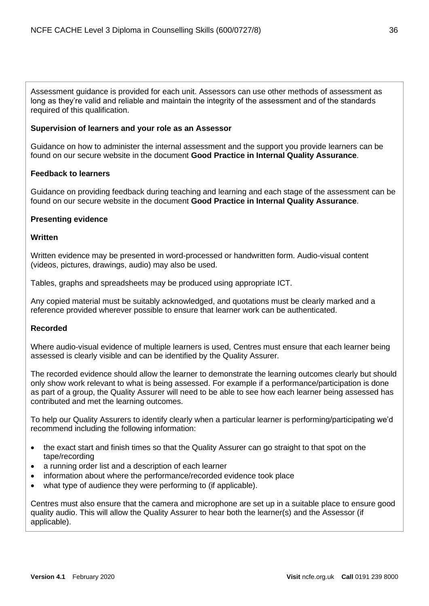Assessment guidance is provided for each unit. Assessors can use other methods of assessment as long as they're valid and reliable and maintain the integrity of the assessment and of the standards required of this qualification.

#### <span id="page-35-0"></span>**Supervision of learners and your role as an Assessor**

Guidance on how to administer the internal assessment and the support you provide learners can be found on our secure website in the document **Good Practice in Internal Quality Assurance**.

#### <span id="page-35-1"></span>**Feedback to learners**

Guidance on providing feedback during teaching and learning and each stage of the assessment can be found on our secure website in the document **Good Practice in Internal Quality Assurance**.

#### <span id="page-35-2"></span>**Presenting evidence**

#### **Written**

Written evidence may be presented in word-processed or handwritten form. Audio-visual content (videos, pictures, drawings, audio) may also be used.

Tables, graphs and spreadsheets may be produced using appropriate ICT.

Any copied material must be suitably acknowledged, and quotations must be clearly marked and a reference provided wherever possible to ensure that learner work can be authenticated.

## **Recorded**

Where audio-visual evidence of multiple learners is used, Centres must ensure that each learner being assessed is clearly visible and can be identified by the Quality Assurer.

The recorded evidence should allow the learner to demonstrate the learning outcomes clearly but should only show work relevant to what is being assessed. For example if a performance/participation is done as part of a group, the Quality Assurer will need to be able to see how each learner being assessed has contributed and met the learning outcomes.

To help our Quality Assurers to identify clearly when a particular learner is performing/participating we'd recommend including the following information:

- the exact start and finish times so that the Quality Assurer can go straight to that spot on the tape/recording
- a running order list and a description of each learner
- information about where the performance/recorded evidence took place
- what type of audience they were performing to (if applicable).

Centres must also ensure that the camera and microphone are set up in a suitable place to ensure good quality audio. This will allow the Quality Assurer to hear both the learner(s) and the Assessor (if applicable).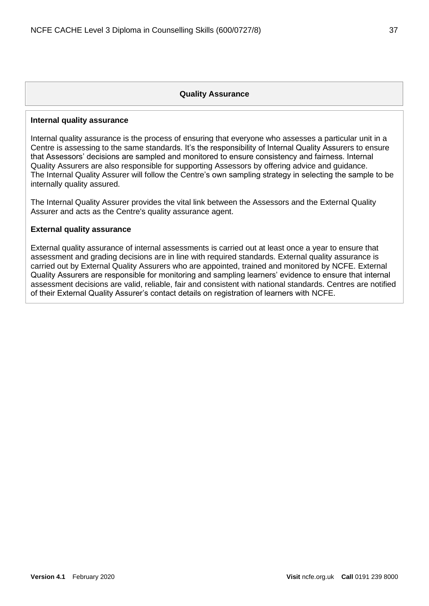#### **Quality Assurance**

#### <span id="page-36-1"></span><span id="page-36-0"></span>**Internal quality assurance**

Internal quality assurance is the process of ensuring that everyone who assesses a particular unit in a Centre is assessing to the same standards. It's the responsibility of Internal Quality Assurers to ensure that Assessors' decisions are sampled and monitored to ensure consistency and fairness. Internal Quality Assurers are also responsible for supporting Assessors by offering advice and guidance. The Internal Quality Assurer will follow the Centre's own sampling strategy in selecting the sample to be internally quality assured.

The Internal Quality Assurer provides the vital link between the Assessors and the External Quality Assurer and acts as the Centre's quality assurance agent.

#### <span id="page-36-2"></span>**External quality assurance**

External quality assurance of internal assessments is carried out at least once a year to ensure that assessment and grading decisions are in line with required standards. External quality assurance is carried out by External Quality Assurers who are appointed, trained and monitored by NCFE. External Quality Assurers are responsible for monitoring and sampling learners' evidence to ensure that internal assessment decisions are valid, reliable, fair and consistent with national standards. Centres are notified of their External Quality Assurer's contact details on registration of learners with NCFE.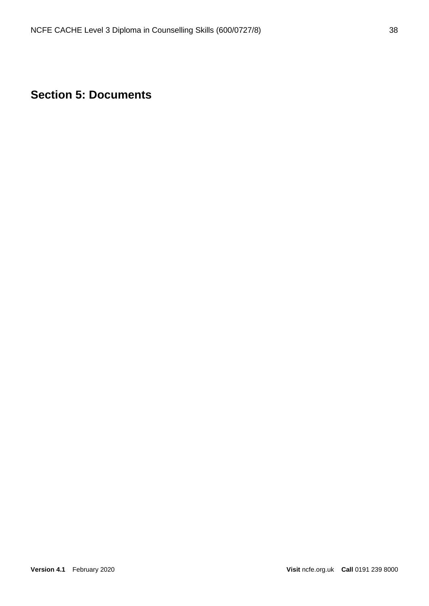# <span id="page-37-0"></span>**Section 5: Documents**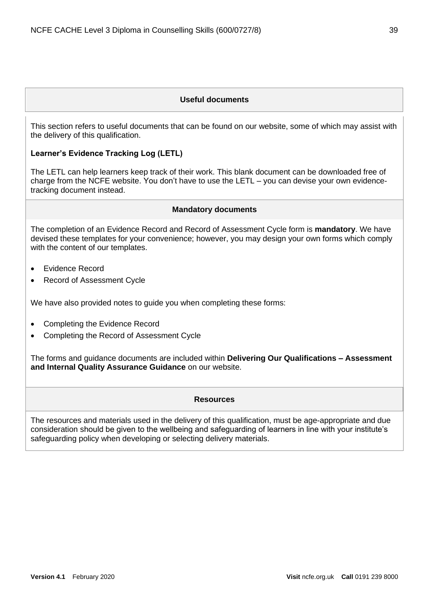#### **Useful documents**

<span id="page-38-0"></span>This section refers to useful documents that can be found on our website, some of which may assist with the delivery of this qualification.

#### **Learner's Evidence Tracking Log (LETL)**

The LETL can help learners keep track of their work. This blank document can be downloaded free of charge from the NCFE website. You don't have to use the LETL – you can devise your own evidencetracking document instead.

#### **Mandatory documents**

<span id="page-38-1"></span>The completion of an Evidence Record and Record of Assessment Cycle form is **mandatory**. We have devised these templates for your convenience; however, you may design your own forms which comply with the content of our templates.

- Evidence Record
- Record of Assessment Cycle

We have also provided notes to guide you when completing these forms:

- Completing the Evidence Record
- Completing the Record of Assessment Cycle

<span id="page-38-2"></span>The forms and guidance documents are included within **Delivering Our Qualifications – Assessment and Internal Quality Assurance Guidance** on our website.

#### **Resources**

The resources and materials used in the delivery of this qualification, must be age-appropriate and due consideration should be given to the wellbeing and safeguarding of learners in line with your institute's safeguarding policy when developing or selecting delivery materials.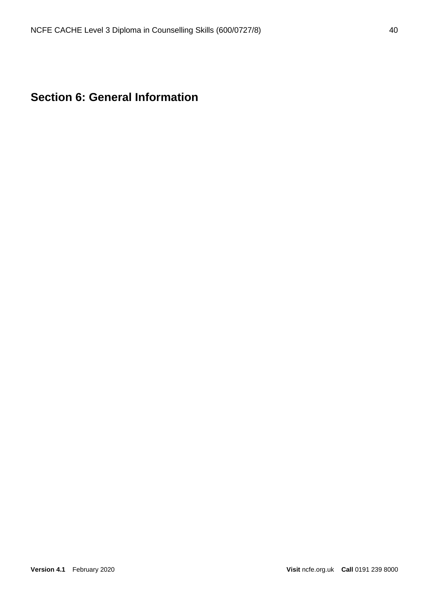```
Section 6: General Information
```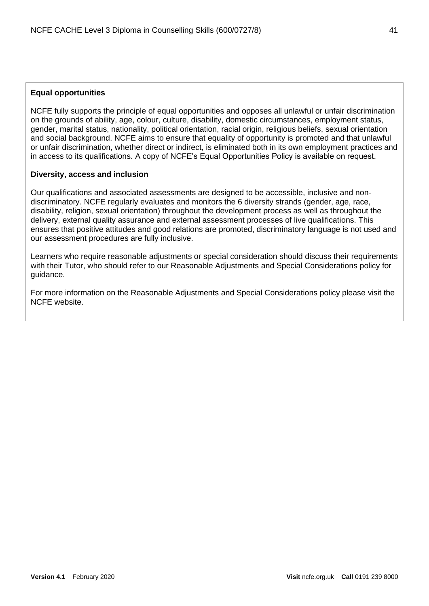## <span id="page-40-0"></span>**Equal opportunities**

NCFE fully supports the principle of equal opportunities and opposes all unlawful or unfair discrimination on the grounds of ability, age, colour, culture, disability, domestic circumstances, employment status, gender, marital status, nationality, political orientation, racial origin, religious beliefs, sexual orientation and social background. NCFE aims to ensure that equality of opportunity is promoted and that unlawful or unfair discrimination, whether direct or indirect, is eliminated both in its own employment practices and in access to its qualifications. A copy of NCFE's Equal Opportunities Policy is available on request.

## <span id="page-40-1"></span>**Diversity, access and inclusion**

Our qualifications and associated assessments are designed to be accessible, inclusive and nondiscriminatory. NCFE regularly evaluates and monitors the 6 diversity strands (gender, age, race, disability, religion, sexual orientation) throughout the development process as well as throughout the delivery, external quality assurance and external assessment processes of live qualifications. This ensures that positive attitudes and good relations are promoted, discriminatory language is not used and our assessment procedures are fully inclusive.

Learners who require reasonable adjustments or special consideration should discuss their requirements with their Tutor, who should refer to our Reasonable Adjustments and Special Considerations policy for guidance.

For more information on the Reasonable Adjustments and Special Considerations policy please visit the NCFE website.